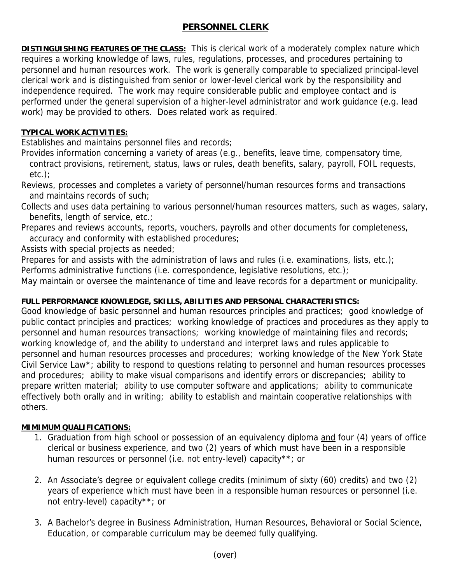## **PERSONNEL CLERK**

**DISTINGUISHING FEATURES OF THE CLASS:** This is clerical work of a moderately complex nature which requires a working knowledge of laws, rules, regulations, processes, and procedures pertaining to personnel and human resources work. The work is generally comparable to specialized principal-level clerical work and is distinguished from senior or lower-level clerical work by the responsibility and independence required. The work may require considerable public and employee contact and is performed under the general supervision of a higher-level administrator and work guidance (e.g. lead work) may be provided to others. Does related work as required.

## **TYPICAL WORK ACTIVITIES:**

Establishes and maintains personnel files and records;

Provides information concerning a variety of areas (e.g., benefits, leave time, compensatory time, contract provisions, retirement, status, laws or rules, death benefits, salary, payroll, FOIL requests, etc.);

Reviews, processes and completes a variety of personnel/human resources forms and transactions and maintains records of such;

Collects and uses data pertaining to various personnel/human resources matters, such as wages, salary, benefits, length of service, etc.;

Prepares and reviews accounts, reports, vouchers, payrolls and other documents for completeness, accuracy and conformity with established procedures;

Assists with special projects as needed;

Prepares for and assists with the administration of laws and rules (i.e. examinations, lists, etc.);

Performs administrative functions (i.e. correspondence, legislative resolutions, etc.);

May maintain or oversee the maintenance of time and leave records for a department or municipality.

## **FULL PERFORMANCE KNOWLEDGE, SKILLS, ABILITIES AND PERSONAL CHARACTERISTICS:**

Good knowledge of basic personnel and human resources principles and practices; good knowledge of public contact principles and practices; working knowledge of practices and procedures as they apply to personnel and human resources transactions; working knowledge of maintaining files and records; working knowledge of, and the ability to understand and interpret laws and rules applicable to personnel and human resources processes and procedures; working knowledge of the New York State Civil Service Law\*; ability to respond to questions relating to personnel and human resources processes and procedures; ability to make visual comparisons and identify errors or discrepancies; ability to prepare written material; ability to use computer software and applications; ability to communicate effectively both orally and in writing; ability to establish and maintain cooperative relationships with others.

## **MIMIMUM QUALIFICATIONS:**

- 1. Graduation from high school or possession of an equivalency diploma and four (4) years of office clerical or business experience, and two (2) years of which must have been in a responsible human resources or personnel (i.e. not entry-level) capacity\*\*; or
- 2. An Associate's degree or equivalent college credits (minimum of sixty (60) credits) and two (2) years of experience which must have been in a responsible human resources or personnel (i.e. not entry-level) capacity\*\*; or
- 3. A Bachelor's degree in Business Administration, Human Resources, Behavioral or Social Science, Education, or comparable curriculum may be deemed fully qualifying.